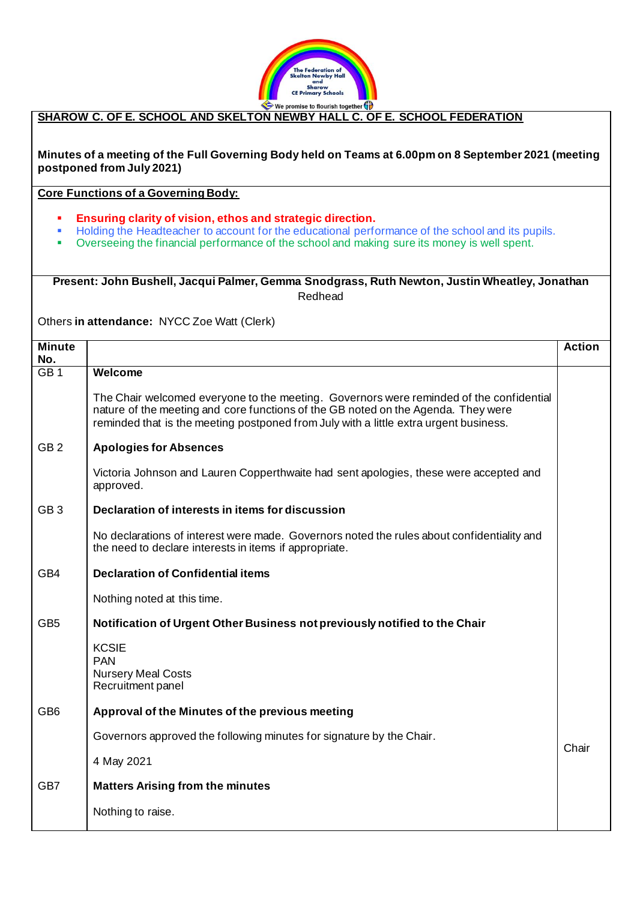

## **SHAROW C. OF E. SCHOOL AND SKELTON NEWBY HALL C. OF E. SCHOOL FEDERATION**

**Minutes of a meeting of the Full Governing Body held on Teams at 6.00pm on 8 September 2021 (meeting postponed from July 2021)**

**Core Functions of a Governing Body:**

- **Ensuring clarity of vision, ethos and strategic direction.**
- Holding the Headteacher to account for the educational performance of the school and its pupils.<br>■ Overseeing the financial performance of the school and making sure its money is well spent
- Overseeing the financial performance of the school and making sure its money is well spent.

## **Present: John Bushell, Jacqui Palmer, Gemma Snodgrass, Ruth Newton, Justin Wheatley, Jonathan**  Redhead

Others **in attendance:** NYCC Zoe Watt (Clerk)

| <b>Minute</b>   |                                                                                                                                                                                                                                                                       | <b>Action</b> |
|-----------------|-----------------------------------------------------------------------------------------------------------------------------------------------------------------------------------------------------------------------------------------------------------------------|---------------|
| No.             |                                                                                                                                                                                                                                                                       |               |
| GB <sub>1</sub> | <b>Welcome</b>                                                                                                                                                                                                                                                        |               |
|                 | The Chair welcomed everyone to the meeting. Governors were reminded of the confidential<br>nature of the meeting and core functions of the GB noted on the Agenda. They were<br>reminded that is the meeting postponed from July with a little extra urgent business. |               |
| GB <sub>2</sub> | <b>Apologies for Absences</b>                                                                                                                                                                                                                                         |               |
|                 | Victoria Johnson and Lauren Copperthwaite had sent apologies, these were accepted and<br>approved.                                                                                                                                                                    |               |
| GB <sub>3</sub> | Declaration of interests in items for discussion                                                                                                                                                                                                                      |               |
|                 | No declarations of interest were made. Governors noted the rules about confidentiality and<br>the need to declare interests in items if appropriate.                                                                                                                  |               |
| GB4             | <b>Declaration of Confidential items</b>                                                                                                                                                                                                                              |               |
|                 | Nothing noted at this time.                                                                                                                                                                                                                                           |               |
| GB <sub>5</sub> | Notification of Urgent Other Business not previously notified to the Chair                                                                                                                                                                                            |               |
|                 | <b>KCSIE</b><br><b>PAN</b><br><b>Nursery Meal Costs</b><br>Recruitment panel                                                                                                                                                                                          |               |
| GB <sub>6</sub> | Approval of the Minutes of the previous meeting                                                                                                                                                                                                                       |               |
|                 | Governors approved the following minutes for signature by the Chair.                                                                                                                                                                                                  | Chair         |
|                 | 4 May 2021                                                                                                                                                                                                                                                            |               |
| GB7             | <b>Matters Arising from the minutes</b>                                                                                                                                                                                                                               |               |
|                 | Nothing to raise.                                                                                                                                                                                                                                                     |               |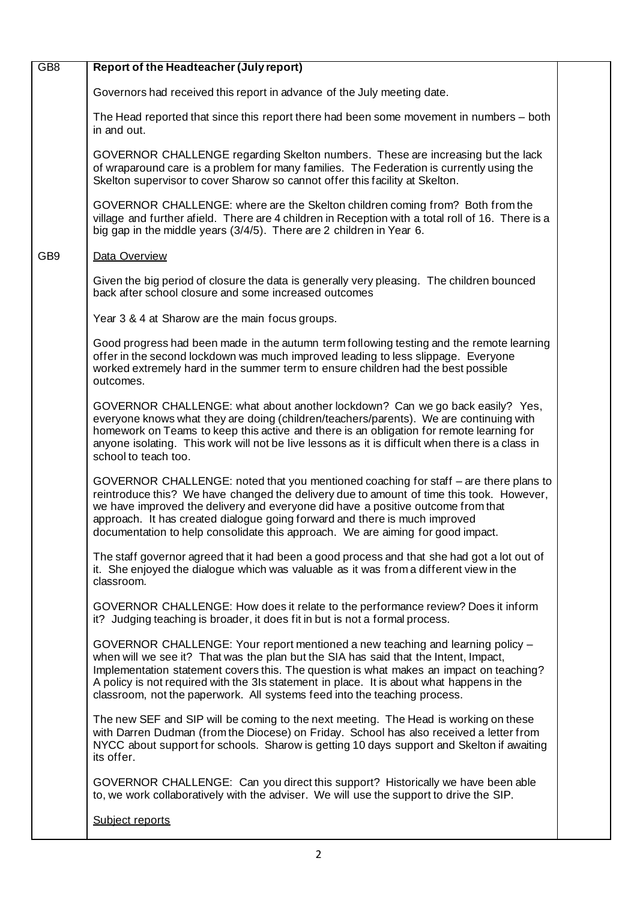| GB <sub>8</sub> | Report of the Headteacher (July report)                                                                                                                                                                                                                                                                                                                                                                                                     |  |
|-----------------|---------------------------------------------------------------------------------------------------------------------------------------------------------------------------------------------------------------------------------------------------------------------------------------------------------------------------------------------------------------------------------------------------------------------------------------------|--|
|                 | Governors had received this report in advance of the July meeting date.                                                                                                                                                                                                                                                                                                                                                                     |  |
|                 | The Head reported that since this report there had been some movement in numbers – both<br>in and out.                                                                                                                                                                                                                                                                                                                                      |  |
|                 | GOVERNOR CHALLENGE regarding Skelton numbers. These are increasing but the lack<br>of wraparound care is a problem for many families. The Federation is currently using the<br>Skelton supervisor to cover Sharow so cannot offer this facility at Skelton.                                                                                                                                                                                 |  |
|                 | GOVERNOR CHALLENGE: where are the Skelton children coming from? Both from the<br>village and further afield. There are 4 children in Reception with a total roll of 16. There is a<br>big gap in the middle years (3/4/5). There are 2 children in Year 6.                                                                                                                                                                                  |  |
| GB <sub>9</sub> | Data Overview                                                                                                                                                                                                                                                                                                                                                                                                                               |  |
|                 | Given the big period of closure the data is generally very pleasing. The children bounced<br>back after school closure and some increased outcomes                                                                                                                                                                                                                                                                                          |  |
|                 | Year 3 & 4 at Sharow are the main focus groups.                                                                                                                                                                                                                                                                                                                                                                                             |  |
|                 | Good progress had been made in the autumn term following testing and the remote learning<br>offer in the second lockdown was much improved leading to less slippage. Everyone<br>worked extremely hard in the summer term to ensure children had the best possible<br>outcomes.                                                                                                                                                             |  |
|                 | GOVERNOR CHALLENGE: what about another lockdown? Can we go back easily? Yes,<br>everyone knows what they are doing (children/teachers/parents). We are continuing with<br>homework on Teams to keep this active and there is an obligation for remote learning for<br>anyone isolating. This work will not be live lessons as it is difficult when there is a class in<br>school to teach too.                                              |  |
|                 | GOVERNOR CHALLENGE: noted that you mentioned coaching for staff – are there plans to<br>reintroduce this? We have changed the delivery due to amount of time this took. However,<br>we have improved the delivery and everyone did have a positive outcome from that<br>approach. It has created dialogue going forward and there is much improved<br>documentation to help consolidate this approach. We are aiming for good impact.       |  |
|                 | The staff governor agreed that it had been a good process and that she had got a lot out of<br>it. She enjoyed the dialogue which was valuable as it was from a different view in the<br>classroom.                                                                                                                                                                                                                                         |  |
|                 | GOVERNOR CHALLENGE: How does it relate to the performance review? Does it inform<br>it? Judging teaching is broader, it does fit in but is not a formal process.                                                                                                                                                                                                                                                                            |  |
|                 | GOVERNOR CHALLENGE: Your report mentioned a new teaching and learning policy -<br>when will we see it? That was the plan but the SIA has said that the Intent, Impact,<br>Implementation statement covers this. The question is what makes an impact on teaching?<br>A policy is not required with the 3Is statement in place. It is about what happens in the<br>classroom, not the paperwork. All systems feed into the teaching process. |  |
|                 | The new SEF and SIP will be coming to the next meeting. The Head is working on these<br>with Darren Dudman (from the Diocese) on Friday. School has also received a letter from<br>NYCC about support for schools. Sharow is getting 10 days support and Skelton if awaiting<br>its offer.                                                                                                                                                  |  |
|                 | GOVERNOR CHALLENGE: Can you direct this support? Historically we have been able<br>to, we work collaboratively with the adviser. We will use the support to drive the SIP.                                                                                                                                                                                                                                                                  |  |
|                 | Subject reports                                                                                                                                                                                                                                                                                                                                                                                                                             |  |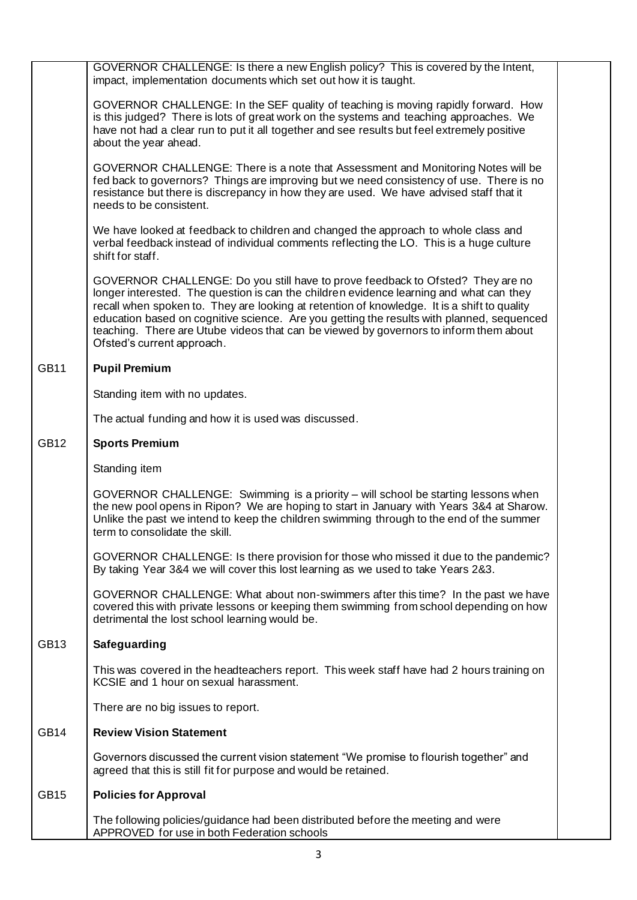|             | GOVERNOR CHALLENGE: Is there a new English policy? This is covered by the Intent,<br>impact, implementation documents which set out how it is taught.                                                                                                                                                                                                                                                                                                                                        |  |
|-------------|----------------------------------------------------------------------------------------------------------------------------------------------------------------------------------------------------------------------------------------------------------------------------------------------------------------------------------------------------------------------------------------------------------------------------------------------------------------------------------------------|--|
|             | GOVERNOR CHALLENGE: In the SEF quality of teaching is moving rapidly forward. How<br>is this judged? There is lots of great work on the systems and teaching approaches. We<br>have not had a clear run to put it all together and see results but feel extremely positive<br>about the year ahead.                                                                                                                                                                                          |  |
|             | GOVERNOR CHALLENGE: There is a note that Assessment and Monitoring Notes will be<br>fed back to governors? Things are improving but we need consistency of use. There is no<br>resistance but there is discrepancy in how they are used. We have advised staff that it<br>needs to be consistent.                                                                                                                                                                                            |  |
|             | We have looked at feedback to children and changed the approach to whole class and<br>verbal feedback instead of individual comments reflecting the LO. This is a huge culture<br>shift for staff.                                                                                                                                                                                                                                                                                           |  |
|             | GOVERNOR CHALLENGE: Do you still have to prove feedback to Ofsted? They are no<br>longer interested. The question is can the children evidence learning and what can they<br>recall when spoken to. They are looking at retention of knowledge. It is a shift to quality<br>education based on cognitive science. Are you getting the results with planned, sequenced<br>teaching. There are Utube videos that can be viewed by governors to inform them about<br>Ofsted's current approach. |  |
| <b>GB11</b> | <b>Pupil Premium</b>                                                                                                                                                                                                                                                                                                                                                                                                                                                                         |  |
|             | Standing item with no updates.                                                                                                                                                                                                                                                                                                                                                                                                                                                               |  |
|             | The actual funding and how it is used was discussed.                                                                                                                                                                                                                                                                                                                                                                                                                                         |  |
| <b>GB12</b> | <b>Sports Premium</b>                                                                                                                                                                                                                                                                                                                                                                                                                                                                        |  |
|             | Standing item                                                                                                                                                                                                                                                                                                                                                                                                                                                                                |  |
|             | GOVERNOR CHALLENGE: Swimming is a priority - will school be starting lessons when<br>the new pool opens in Ripon? We are hoping to start in January with Years 3&4 at Sharow.<br>Unlike the past we intend to keep the children swimming through to the end of the summer<br>term to consolidate the skill.                                                                                                                                                                                  |  |
|             | GOVERNOR CHALLENGE: Is there provision for those who missed it due to the pandemic?<br>By taking Year 3&4 we will cover this lost learning as we used to take Years 2&3.                                                                                                                                                                                                                                                                                                                     |  |
|             | GOVERNOR CHALLENGE: What about non-swimmers after this time? In the past we have<br>covered this with private lessons or keeping them swimming from school depending on how<br>detrimental the lost school learning would be.                                                                                                                                                                                                                                                                |  |
| <b>GB13</b> | Safeguarding                                                                                                                                                                                                                                                                                                                                                                                                                                                                                 |  |
|             | This was covered in the headteachers report. This week staff have had 2 hours training on<br>KCSIE and 1 hour on sexual harassment.                                                                                                                                                                                                                                                                                                                                                          |  |
|             | There are no big issues to report.                                                                                                                                                                                                                                                                                                                                                                                                                                                           |  |
| <b>GB14</b> | <b>Review Vision Statement</b>                                                                                                                                                                                                                                                                                                                                                                                                                                                               |  |
|             | Governors discussed the current vision statement "We promise to flourish together" and<br>agreed that this is still fit for purpose and would be retained.                                                                                                                                                                                                                                                                                                                                   |  |
| <b>GB15</b> | <b>Policies for Approval</b>                                                                                                                                                                                                                                                                                                                                                                                                                                                                 |  |
|             | The following policies/guidance had been distributed before the meeting and were<br>APPROVED for use in both Federation schools                                                                                                                                                                                                                                                                                                                                                              |  |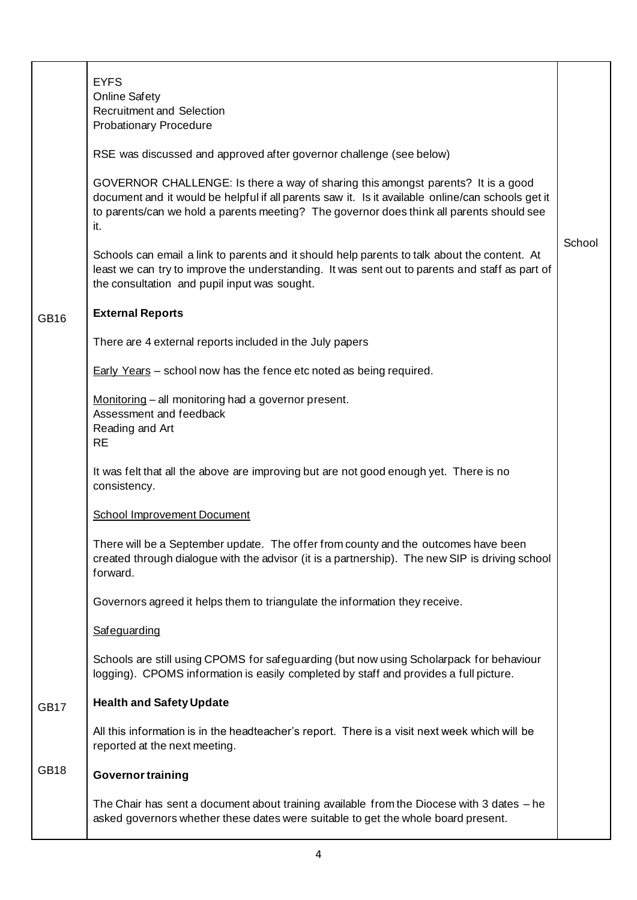|             | <b>EYFS</b><br><b>Online Safety</b><br><b>Recruitment and Selection</b><br><b>Probationary Procedure</b>                                                                                                                                                                                 |        |
|-------------|------------------------------------------------------------------------------------------------------------------------------------------------------------------------------------------------------------------------------------------------------------------------------------------|--------|
|             | RSE was discussed and approved after governor challenge (see below)                                                                                                                                                                                                                      |        |
|             | GOVERNOR CHALLENGE: Is there a way of sharing this amongst parents? It is a good<br>document and it would be helpful if all parents saw it. Is it available online/can schools get it<br>to parents/can we hold a parents meeting? The governor does think all parents should see<br>it. |        |
|             | Schools can email a link to parents and it should help parents to talk about the content. At<br>least we can try to improve the understanding. It was sent out to parents and staff as part of<br>the consultation and pupil input was sought.                                           | School |
| <b>GB16</b> | <b>External Reports</b>                                                                                                                                                                                                                                                                  |        |
|             | There are 4 external reports included in the July papers                                                                                                                                                                                                                                 |        |
|             | <b>Early Years</b> – school now has the fence etc noted as being required.                                                                                                                                                                                                               |        |
|             | Monitoring - all monitoring had a governor present.<br>Assessment and feedback<br>Reading and Art<br><b>RE</b>                                                                                                                                                                           |        |
|             | It was felt that all the above are improving but are not good enough yet. There is no<br>consistency.                                                                                                                                                                                    |        |
|             | <b>School Improvement Document</b>                                                                                                                                                                                                                                                       |        |
|             | There will be a September update. The offer from county and the outcomes have been<br>created through dialogue with the advisor (it is a partnership). The new SIP is driving school<br>forward.                                                                                         |        |
|             | Governors agreed it helps them to triangulate the information they receive.                                                                                                                                                                                                              |        |
|             | Safeguarding                                                                                                                                                                                                                                                                             |        |
|             | Schools are still using CPOMS for safeguarding (but now using Scholarpack for behaviour<br>logging). CPOMS information is easily completed by staff and provides a full picture.                                                                                                         |        |
| GB17        | <b>Health and Safety Update</b>                                                                                                                                                                                                                                                          |        |
|             | All this information is in the headteacher's report. There is a visit next week which will be<br>reported at the next meeting.                                                                                                                                                           |        |
| <b>GB18</b> | <b>Governor training</b>                                                                                                                                                                                                                                                                 |        |
|             | The Chair has sent a document about training available from the Diocese with 3 dates - he<br>asked governors whether these dates were suitable to get the whole board present.                                                                                                           |        |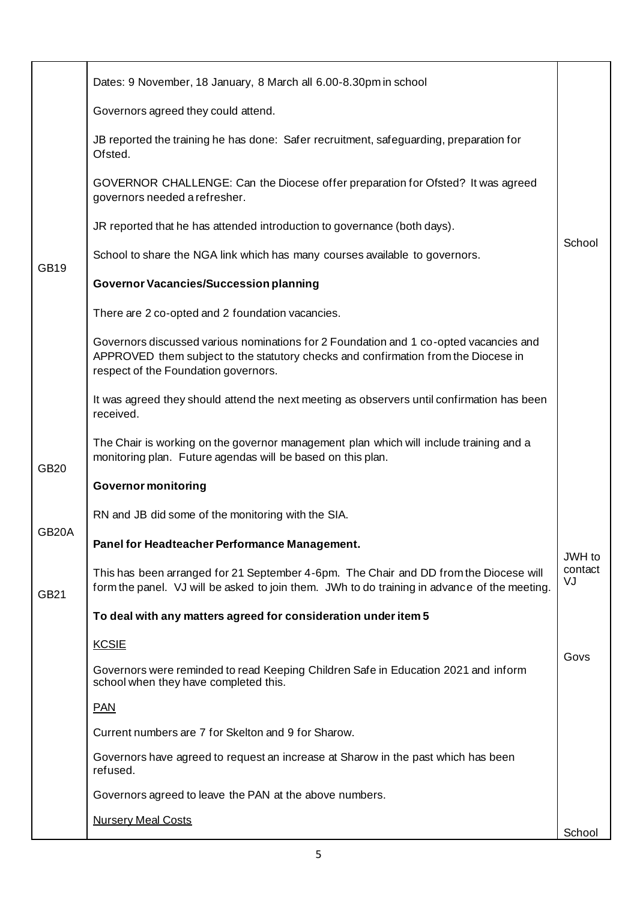|                    | Dates: 9 November, 18 January, 8 March all 6.00-8.30pm in school                                                                                                                                                    |               |
|--------------------|---------------------------------------------------------------------------------------------------------------------------------------------------------------------------------------------------------------------|---------------|
|                    | Governors agreed they could attend.                                                                                                                                                                                 |               |
|                    | JB reported the training he has done: Safer recruitment, safeguarding, preparation for<br>Ofsted.                                                                                                                   |               |
|                    | GOVERNOR CHALLENGE: Can the Diocese offer preparation for Ofsted? It was agreed<br>governors needed a refresher.                                                                                                    |               |
|                    | JR reported that he has attended introduction to governance (both days).                                                                                                                                            |               |
| <b>GB19</b>        | School to share the NGA link which has many courses available to governors.                                                                                                                                         | School        |
|                    | <b>Governor Vacancies/Succession planning</b>                                                                                                                                                                       |               |
|                    | There are 2 co-opted and 2 foundation vacancies.                                                                                                                                                                    |               |
|                    | Governors discussed various nominations for 2 Foundation and 1 co-opted vacancies and<br>APPROVED them subject to the statutory checks and confirmation from the Diocese in<br>respect of the Foundation governors. |               |
|                    | It was agreed they should attend the next meeting as observers until confirmation has been<br>received.                                                                                                             |               |
| <b>GB20</b>        | The Chair is working on the governor management plan which will include training and a<br>monitoring plan. Future agendas will be based on this plan.                                                               |               |
|                    | <b>Governor monitoring</b>                                                                                                                                                                                          |               |
|                    | RN and JB did some of the monitoring with the SIA.                                                                                                                                                                  |               |
| GB <sub>20</sub> A | Panel for Headteacher Performance Management.                                                                                                                                                                       | JWH to        |
| <b>GB21</b>        | This has been arranged for 21 September 4-6pm. The Chair and DD from the Diocese will<br>form the panel. VJ will be asked to join them. JWh to do training in advance of the meeting.                               | contact<br>VJ |
|                    | To deal with any matters agreed for consideration under item 5                                                                                                                                                      |               |
|                    | <b>KCSIE</b>                                                                                                                                                                                                        | Govs          |
|                    | Governors were reminded to read Keeping Children Safe in Education 2021 and inform<br>school when they have completed this.                                                                                         |               |
|                    | <b>PAN</b>                                                                                                                                                                                                          |               |
|                    | Current numbers are 7 for Skelton and 9 for Sharow.                                                                                                                                                                 |               |
|                    | Governors have agreed to request an increase at Sharow in the past which has been<br>refused.                                                                                                                       |               |
|                    | Governors agreed to leave the PAN at the above numbers.                                                                                                                                                             |               |
|                    | <b>Nursery Meal Costs</b>                                                                                                                                                                                           | School        |